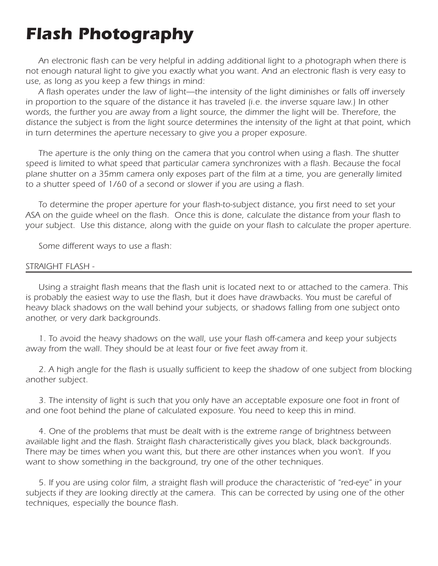# *Flash Photography*

*An electronic flash can be very helpful in adding additional light to a photograph when there is not enough natural light to give you exactly what you want. And an electronic flash is very easy to use, as long as you keep a few things in mind:*

*A flash operates under the law of light—the intensity of the light diminishes or falls off inversely in proportion to the square of the distance it has traveled (i.e. the inverse square law.) In other words, the further you are away from a light source, the dimmer the light will be. Therefore, the distance the subject is from the light source determines the intensity of the light at that point, which in turn determines the aperture necessary to give you a proper exposure.*

*The aperture is the only thing on the camera that you control when using a flash. The shutter speed is limited to what speed that particular camera synchronizes with a flash. Because the focal plane shutter on a 35mm camera only exposes part of the film at a time, you are generally limited to a shutter speed of 1/60 of a second or slower if you are using a flash.*

*To determine the proper aperture for your flash-to-subject distance, you first need to set your ASA on the guide wheel on the flash. Once this is done, calculate the distance from your flash to your subject. Use this distance, along with the guide on your flash to calculate the proper aperture.*

*Some different ways to use a flash:*

## *STRAIGHT FLASH -*

*Using a straight flash means that the flash unit is located next to or attached to the camera. This is probably the easiest way to use the flash, but it does have drawbacks. You must be careful of heavy black shadows on the wall behind your subjects, or shadows falling from one subject onto another, or very dark backgrounds.*

*1. To avoid the heavy shadows on the wall, use your flash off-camera and keep your subjects away from the wall. They should be at least four or five feet away from it.*

*2. A high angle for the flash is usually sufficient to keep the shadow of one subject from blocking another subject.*

*3. The intensity of light is such that you only have an acceptable exposure one foot in front of and one foot behind the plane of calculated exposure. You need to keep this in mind.*

*4. One of the problems that must be dealt with is the extreme range of brightness between available light and the flash. Straight flash characteristically gives you black, black backgrounds. There may be times when you want this, but there are other instances when you won't. If you want to show something in the background, try one of the other techniques.*

*5. If you are using color film, a straight flash will produce the characteristic of "red-eye" in your subjects if they are looking directly at the camera. This can be corrected by using one of the other techniques, especially the bounce flash.*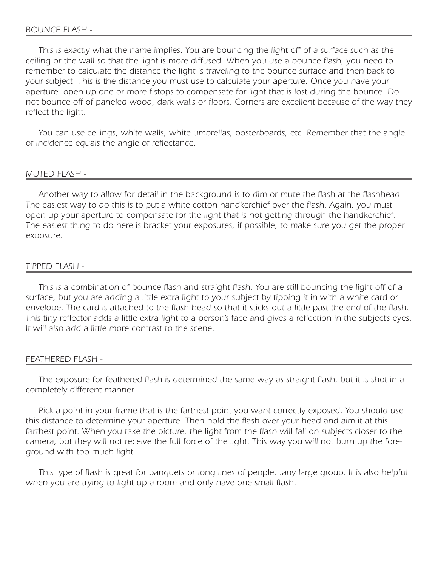*This is exactly what the name implies. You are bouncing the light off of a surface such as the ceiling or the wall so that the light is more diffused. When you use a bounce flash, you need to remember to calculate the distance the light is traveling to the bounce surface and then back to your subject. This is the distance you must use to calculate your aperture. Once you have your aperture, open up one or more f-stops to compensate for light that is lost during the bounce. Do not bounce off of paneled wood, dark walls or floors. Corners are excellent because of the way they reflect the light.*

*You can use ceilings, white walls, white umbrellas, posterboards, etc. Remember that the angle of incidence equals the angle of reflectance.*

#### *MUTED FLASH -*

*Another way to allow for detail in the background is to dim or mute the flash at the flashhead. The easiest way to do this is to put a white cotton handkerchief over the flash. Again, you must open up your aperture to compensate for the light that is not getting through the handkerchief. The easiest thing to do here is bracket your exposures, if possible, to make sure you get the proper exposure.*

# *TIPPED FLASH -*

*This is a combination of bounce flash and straight flash. You are still bouncing the light off of a surface, but you are adding a little extra light to your subject by tipping it in with a white card or envelope. The card is attached to the flash head so that it sticks out a little past the end of the flash. This tiny reflector adds a little extra light to a person's face and gives a reflection in the subject's eyes. It will also add a little more contrast to the scene.*

## *FEATHERED FLASH -*

*The exposure for feathered flash is determined the same way as straight flash, but it is shot in a completely different manner.*

*Pick a point in your frame that is the farthest point you want correctly exposed. You should use this distance to determine your aperture. Then hold the flash over your head and aim it at this* farthest point. When you take the picture, the light from the flash will fall on subjects closer to the *camera, but they will not receive the full force of the light. This way you will not burn up the foreground with too much light.*

*This type of flash is great for banquets or long lines of people...any large group. It is also helpful when you are trying to light up a room and only have one small flash.*